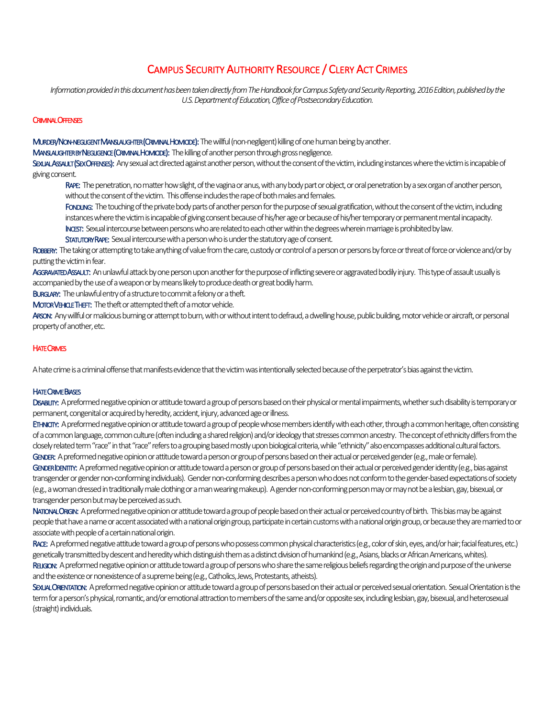# CAMPUS SECURITY AUTHORITY RESOURCE / CLERY ACT CRIMES

Information provided in this document has been taken directly from The Handbook for Campus Safety and Security Reporting, 2016 Edition, published by the *U.S. Department of Education, Office of Postsecondary Education.*

## **CRIMINAL OFFENSES**

MURDER/NON-NEGLIGENT MANSLAUGHTER (CRIMINAL HOMICIDE): The willful (non-negligent) killing of one human being by another.

MANSLAUGHTER BY NEGLIGENCE (CRIMINAL HOMICIDE): The killing of another person through gross negligence.

SEXUAL ASSAULT (SEX OFFENSES): Any sexual act directed against another person, without the consent of the victim, including instances where the victim is incapable of giving consent.

RAPE: The penetration, no matter how slight, of the vagina or anus, with any body part or object, or oral penetration by a sex organ of another person, without the consent of the victim. This offense includes the rape of both males and females.

FONDLING: The touching of the private body parts of another person for the purpose of sexual gratification, without the consent of the victim, including instances where the victim is incapable of giving consent because of his/her age or because of his/her temporary or permanentmental incapacity.

INCEST: Sexual intercourse between persons who are related to each other within the degrees wherein marriage is prohibited by law.

STATUTORY RAPE: Sexual intercourse with a person who is under the statutory age of consent.

ROBBERY: The taking or attempting to take anything of value from the care, custody or control of a person or persons by force or threat of force or violence and/or by putting the victim in fear.

AGGRAVATED ASSAULT: An unlawful attack by one person upon another for the purpose of inflicting severe or aggravated bodily injury. This type of assault usually is accompanied by the use of a weapon or by means likely to produce death or great bodily harm.

BURGLARY: The unlawful entry of a structure to commit a felony or a theft.

MOTOR VEHICLE THEFT: The theft or attempted theft of a motor vehicle.

ARSON: Any willful or malicious burning or attempt to burn, with or without intent to defraud, a dwelling house, public building, motor vehicle or aircraft, or personal property of another, etc.

## **HATE CRIMES**

A hate crime is a criminal offense that manifests evidence that the victim was intentionally selected because of the perpetrator's bias against the victim.

## **HATE CRIME BIASES**

DISABILITY: A preformed negative opinion or attitude toward a group of persons based on their physical or mental impairments, whether such disability is temporary or permanent, congenital or acquired by heredity, accident, injury, advanced age or illness.

ETHNICITY: A preformed negative opinion or attitude toward a group of people whose members identify with each other, through a common heritage, often consisting of a common language, common culture (often including a shared religion) and/or ideology that stresses common ancestry. The concept of ethnicity differs from the closely related term "race" in that "race" refers to a grouping based mostly upon biological criteria, while "ethnicity" also encompasses additional cultural factors. GENDER: A preformed negative opinion or attitude toward a person or group of persons based on their actual or perceived gender (e.g., male or female). GENDER IDENTITY: A preformed negative opinion or attitude toward a person or group of persons based on their actual or perceived gender identity (e.g., bias against transgender or gender non-conforming individuals). Gender non-conforming describes a person who does not conform to the gender-based expectations of society (e.g., a woman dressed in traditionally male clothing or a man wearing makeup). A gender non-conforming person may or may not be a lesbian, gay, bisexual, or

transgender person but may be perceived as such.

NATIONAL ORIGIN: A preformed negative opinion or attitude toward a group of people based on their actual or perceived country of birth. This bias may be against people that have a name or accent associated with a national origin group, participate in certain customs with a national origin group, or because they are married to or associate with people of a certain national origin.

RACE: A preformed negative attitude toward a group of persons who possess common physical characteristics (e.g., color of skin, eyes, and/or hair; facial features, etc.) genetically transmitted by descent and heredity which distinguish them as a distinct division of humankind (e.g., Asians, blacks or AfricanAmericans, whites). RELIGION: A preformed negative opinion or attitude toward a group of persons who share the same religious beliefs regarding the origin and purpose of the universe and the existence or nonexistence of a supreme being (e.g., Catholics, Jews, Protestants, atheists).

SEXUAL ORIENTATION: A preformed negative opinion or attitude toward a group of persons based on their actual or perceived sexual orientation. Sexual Orientation is the term for a person's physical, romantic, and/or emotional attraction to members of the same and/or opposite sex, including lesbian, gay, bisexual, and heterosexual (straight) individuals.